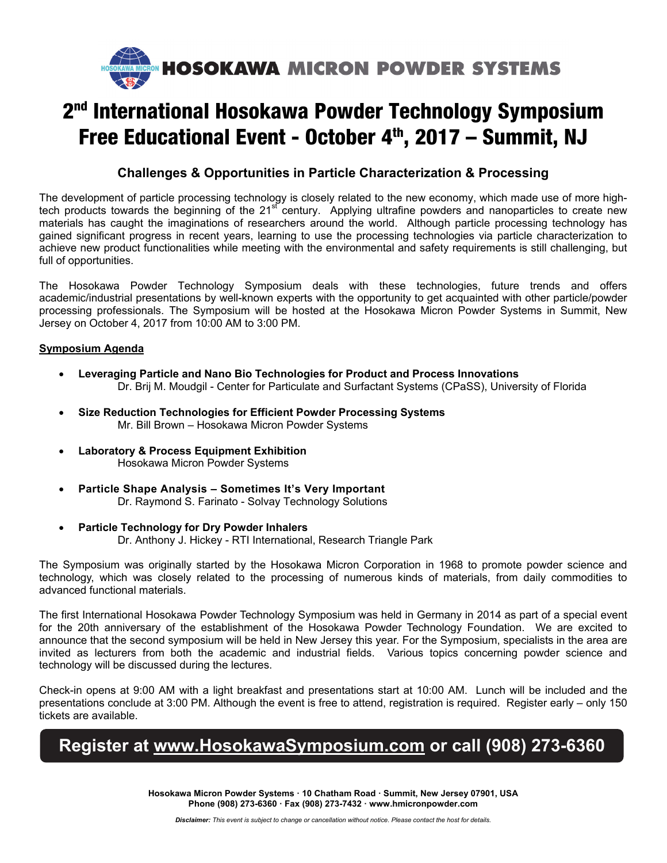

# 2<sup>nd</sup> International Hosokawa Powder Technology Symposium Free Educational Event - October 4<sup>th</sup>, 2017 - Summit, NJ

### **Challenges & Opportunities in Particle Characterization & Processing**

The development of particle processing technology is closely related to the new economy, which made use of more hightech products towards the beginning of the 21<sup>st</sup> century. Applying ultrafine powders and nanoparticles to create new materials has caught the imaginations of researchers around the world. Although particle processing technology has gained significant progress in recent years, learning to use the processing technologies via particle characterization to achieve new product functionalities while meeting with the environmental and safety requirements is still challenging, but full of opportunities.

The Hosokawa Powder Technology Symposium deals with these technologies, future trends and offers academic/industrial presentations by well-known experts with the opportunity to get acquainted with other particle/powder processing professionals. The Symposium will be hosted at the Hosokawa Micron Powder Systems in Summit, New Jersey on October 4, 2017 from 10:00 AM to 3:00 PM.

#### **Symposium Agenda**

- **Leveraging Particle and Nano Bio Technologies for Product and Process Innovations**  Dr. Brij M. Moudgil - Center for Particulate and Surfactant Systems (CPaSS), University of Florida
- **Size Reduction Technologies for Efficient Powder Processing Systems**  Mr. Bill Brown – Hosokawa Micron Powder Systems
- **Laboratory & Process Equipment Exhibition** Hosokawa Micron Powder Systems
- **Particle Shape Analysis Sometimes It's Very Important**  Dr. Raymond S. Farinato - Solvay Technology Solutions
- **Particle Technology for Dry Powder Inhalers**

Dr. Anthony J. Hickey - RTI International, Research Triangle Park

The Symposium was originally started by the Hosokawa Micron Corporation in 1968 to promote powder science and technology, which was closely related to the processing of numerous kinds of materials, from daily commodities to advanced functional materials.

The first International Hosokawa Powder Technology Symposium was held in Germany in 2014 as part of a special event for the 20th anniversary of the establishment of the Hosokawa Powder Technology Foundation. We are excited to announce that the second symposium will be held in New Jersey this year. For the Symposium, specialists in the area are invited as lecturers from both the academic and industrial fields. Various topics concerning powder science and technology will be discussed during the lectures.

Check-in opens at 9:00 AM with a light breakfast and presentations start at 10:00 AM. Lunch will be included and the presentations conclude at 3:00 PM. Although the event is free to attend, registration is required. Register early – only 150 tickets are available.

## **Register at www.HosokawaSymposium.com or call (908) 273-6360**

**Hosokawa Micron Powder Systems · 10 Chatham Road · Summit, New Jersey 07901, USA Phone (908) 273-6360 · Fax (908) 273-7432 · www.hmicronpowder.com**